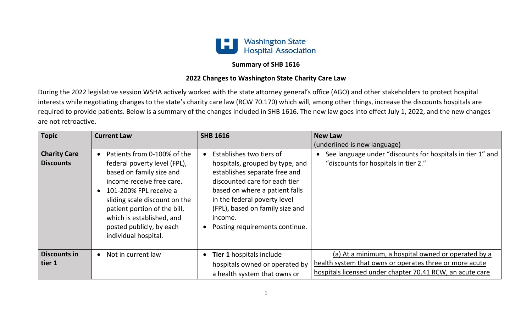

## **Summary of SHB 1616**

## **2022 Changes to Washington State Charity Care Law**

During the 2022 legislative session WSHA actively worked with the state attorney general's office (AGO) and other stakeholders to protect hospital interests while negotiating changes to the state's charity care law (RCW 70.170) which will, among other things, increase the discounts hospitals are required to provide patients. Below is a summary of the changes included in SHB 1616. The new law goes into effect July 1, 2022, and the new changes are not retroactive.

| <b>Topic</b>                            | <b>Current Law</b>                                                                                                                                                                                                                                                                               | <b>SHB 1616</b>                                                                                                                                                                                                                                                                 | <b>New Law</b><br>(underlined is new language)                                                                                                                              |
|-----------------------------------------|--------------------------------------------------------------------------------------------------------------------------------------------------------------------------------------------------------------------------------------------------------------------------------------------------|---------------------------------------------------------------------------------------------------------------------------------------------------------------------------------------------------------------------------------------------------------------------------------|-----------------------------------------------------------------------------------------------------------------------------------------------------------------------------|
| <b>Charity Care</b><br><b>Discounts</b> | Patients from 0-100% of the<br>federal poverty level (FPL),<br>based on family size and<br>income receive free care.<br>101-200% FPL receive a<br>sliding scale discount on the<br>patient portion of the bill,<br>which is established, and<br>posted publicly, by each<br>individual hospital. | Establishes two tiers of<br>hospitals, grouped by type, and<br>establishes separate free and<br>discounted care for each tier<br>based on where a patient falls<br>in the federal poverty level<br>(FPL), based on family size and<br>income.<br>Posting requirements continue. | See language under "discounts for hospitals in tier 1" and<br>"discounts for hospitals in tier 2."                                                                          |
| <b>Discounts in</b><br>tier 1           | Not in current law<br>$\bullet$                                                                                                                                                                                                                                                                  | <b>Tier 1 hospitals include</b><br>$\bullet$<br>hospitals owned or operated by<br>a health system that owns or                                                                                                                                                                  | (a) At a minimum, a hospital owned or operated by a<br>health system that owns or operates three or more acute<br>hospitals licensed under chapter 70.41 RCW, an acute care |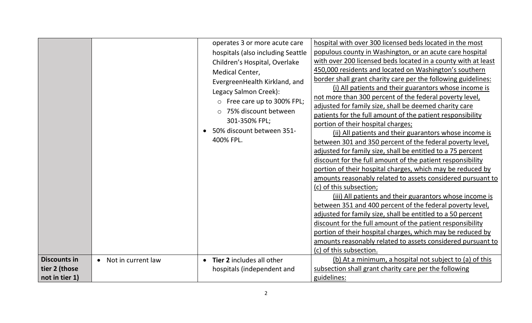| <b>Discounts in</b> |                    | operates 3 or more acute care<br>hospitals (also including Seattle<br>Children's Hospital, Overlake<br>Medical Center,<br>EvergreenHealth Kirkland, and<br>Legacy Salmon Creek):<br>o Free care up to 300% FPL;<br>○ 75% discount between<br>301-350% FPL;<br>50% discount between 351-<br>400% FPL. | hospital with over 300 licensed beds located in the most<br>populous county in Washington, or an acute care hospital<br>with over 200 licensed beds located in a county with at least<br>450,000 residents and located on Washington's southern<br>border shall grant charity care per the following guidelines:<br>(i) All patients and their guarantors whose income is<br>not more than 300 percent of the federal poverty level,<br>adjusted for family size, shall be deemed charity care<br>patients for the full amount of the patient responsibility<br>portion of their hospital charges;<br>(ii) All patients and their guarantors whose income is<br>between 301 and 350 percent of the federal poverty level,<br>adjusted for family size, shall be entitled to a 75 percent<br>discount for the full amount of the patient responsibility<br>portion of their hospital charges, which may be reduced by<br>amounts reasonably related to assets considered pursuant to<br>(c) of this subsection;<br>(iii) All patients and their guarantors whose income is<br>between 351 and 400 percent of the federal poverty level,<br>adjusted for family size, shall be entitled to a 50 percent<br>discount for the full amount of the patient responsibility<br>portion of their hospital charges, which may be reduced by<br>amounts reasonably related to assets considered pursuant to<br>(c) of this subsection. |
|---------------------|--------------------|------------------------------------------------------------------------------------------------------------------------------------------------------------------------------------------------------------------------------------------------------------------------------------------------------|-----------------------------------------------------------------------------------------------------------------------------------------------------------------------------------------------------------------------------------------------------------------------------------------------------------------------------------------------------------------------------------------------------------------------------------------------------------------------------------------------------------------------------------------------------------------------------------------------------------------------------------------------------------------------------------------------------------------------------------------------------------------------------------------------------------------------------------------------------------------------------------------------------------------------------------------------------------------------------------------------------------------------------------------------------------------------------------------------------------------------------------------------------------------------------------------------------------------------------------------------------------------------------------------------------------------------------------------------------------------------------------------------------------------------------|
|                     | Not in current law | Tier 2 includes all other<br>$\bullet$                                                                                                                                                                                                                                                               | (b) At a minimum, a hospital not subject to (a) of this                                                                                                                                                                                                                                                                                                                                                                                                                                                                                                                                                                                                                                                                                                                                                                                                                                                                                                                                                                                                                                                                                                                                                                                                                                                                                                                                                                     |
| tier 2 (those       |                    | hospitals (independent and                                                                                                                                                                                                                                                                           | subsection shall grant charity care per the following                                                                                                                                                                                                                                                                                                                                                                                                                                                                                                                                                                                                                                                                                                                                                                                                                                                                                                                                                                                                                                                                                                                                                                                                                                                                                                                                                                       |
| not in tier 1)      |                    |                                                                                                                                                                                                                                                                                                      | guidelines:                                                                                                                                                                                                                                                                                                                                                                                                                                                                                                                                                                                                                                                                                                                                                                                                                                                                                                                                                                                                                                                                                                                                                                                                                                                                                                                                                                                                                 |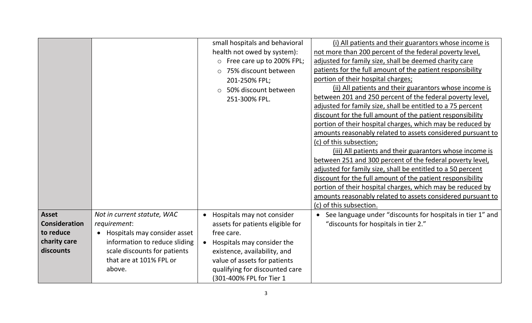|                      |                                           | small hospitals and behavioral   | (i) All patients and their guarantors whose income is       |
|----------------------|-------------------------------------------|----------------------------------|-------------------------------------------------------------|
|                      |                                           | health not owed by system):      | not more than 200 percent of the federal poverty level,     |
|                      |                                           | o Free care up to 200% FPL;      | adjusted for family size, shall be deemed charity care      |
|                      |                                           | 75% discount between<br>$\circ$  | patients for the full amount of the patient responsibility  |
|                      |                                           | 201-250% FPL;                    | portion of their hospital charges;                          |
|                      |                                           | 50% discount between<br>$\circ$  | (ii) All patients and their guarantors whose income is      |
|                      |                                           | 251-300% FPL.                    | between 201 and 250 percent of the federal poverty level,   |
|                      |                                           |                                  | adjusted for family size, shall be entitled to a 75 percent |
|                      |                                           |                                  | discount for the full amount of the patient responsibility  |
|                      |                                           |                                  | portion of their hospital charges, which may be reduced by  |
|                      |                                           |                                  | amounts reasonably related to assets considered pursuant to |
|                      |                                           |                                  | (c) of this subsection;                                     |
|                      |                                           |                                  | (iii) All patients and their guarantors whose income is     |
|                      |                                           |                                  | between 251 and 300 percent of the federal poverty level,   |
|                      |                                           |                                  | adjusted for family size, shall be entitled to a 50 percent |
|                      |                                           |                                  | discount for the full amount of the patient responsibility  |
|                      |                                           |                                  | portion of their hospital charges, which may be reduced by  |
|                      |                                           |                                  | amounts reasonably related to assets considered pursuant to |
|                      |                                           |                                  | (c) of this subsection.                                     |
| <b>Asset</b>         | Not in current statute, WAC               | Hospitals may not consider       | See language under "discounts for hospitals in tier 1" and  |
| <b>Consideration</b> | requirement:                              | assets for patients eligible for | "discounts for hospitals in tier 2."                        |
| to reduce            | Hospitals may consider asset<br>$\bullet$ | free care.                       |                                                             |
| charity care         | information to reduce sliding             | Hospitals may consider the       |                                                             |
| discounts            | scale discounts for patients              | existence, availability, and     |                                                             |
|                      | that are at 101% FPL or                   | value of assets for patients     |                                                             |
|                      | above.                                    | qualifying for discounted care   |                                                             |
|                      |                                           | (301-400% FPL for Tier 1         |                                                             |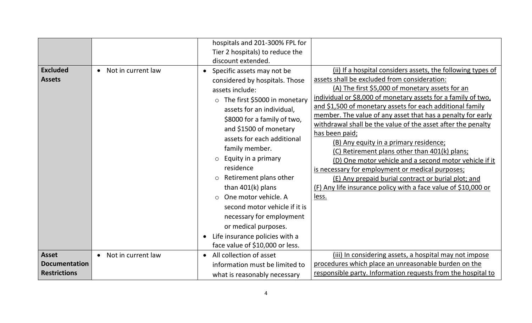|                      |                    | hospitals and 201-300% FPL for       |                                                                |
|----------------------|--------------------|--------------------------------------|----------------------------------------------------------------|
|                      |                    | Tier 2 hospitals) to reduce the      |                                                                |
|                      |                    | discount extended.                   |                                                                |
| <b>Excluded</b>      | Not in current law | Specific assets may not be           | (ii) If a hospital considers assets, the following types of    |
| <b>Assets</b>        |                    | considered by hospitals. Those       | assets shall be excluded from consideration:                   |
|                      |                    | assets include:                      | (A) The first \$5,000 of monetary assets for an                |
|                      |                    | $\circ$ The first \$5000 in monetary | individual or \$8,000 of monetary assets for a family of two,  |
|                      |                    | assets for an individual,            | and \$1,500 of monetary assets for each additional family      |
|                      |                    | \$8000 for a family of two,          | member. The value of any asset that has a penalty for early    |
|                      |                    | and \$1500 of monetary               | withdrawal shall be the value of the asset after the penalty   |
|                      |                    | assets for each additional           | has been paid;                                                 |
|                      |                    | family member.                       | (B) Any equity in a primary residence;                         |
|                      |                    |                                      | (C) Retirement plans other than 401(k) plans;                  |
|                      |                    | $\circ$ Equity in a primary          | (D) One motor vehicle and a second motor vehicle if it         |
|                      |                    | residence                            | is necessary for employment or medical purposes;               |
|                      |                    | Retirement plans other<br>$\circ$    | (E) Any prepaid burial contract or burial plot; and            |
|                      |                    | than $401(k)$ plans                  | (F) Any life insurance policy with a face value of \$10,000 or |
|                      |                    | One motor vehicle. A<br>$\bigcap$    | less.                                                          |
|                      |                    | second motor vehicle if it is        |                                                                |
|                      |                    | necessary for employment             |                                                                |
|                      |                    | or medical purposes.                 |                                                                |
|                      |                    | Life insurance policies with a       |                                                                |
|                      |                    | face value of \$10,000 or less.      |                                                                |
| <b>Asset</b>         | Not in current law | All collection of asset              | (iii) In considering assets, a hospital may not impose         |
| <b>Documentation</b> |                    | information must be limited to       | procedures which place an unreasonable burden on the           |
| <b>Restrictions</b>  |                    | what is reasonably necessary         | responsible party. Information requests from the hospital to   |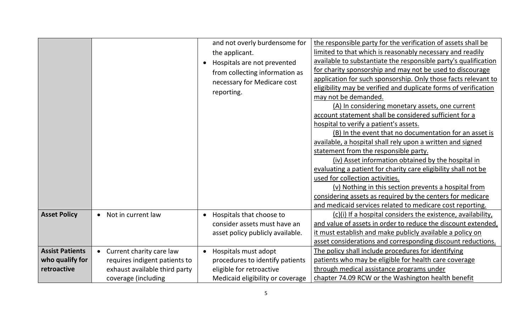|                        |                               | and not overly burdensome for         | the responsible party for the verification of assets shall be   |
|------------------------|-------------------------------|---------------------------------------|-----------------------------------------------------------------|
|                        |                               | the applicant.                        | limited to that which is reasonably necessary and readily       |
|                        |                               | Hospitals are not prevented           | available to substantiate the responsible party's qualification |
|                        |                               | from collecting information as        | for charity sponsorship and may not be used to discourage       |
|                        |                               | necessary for Medicare cost           | application for such sponsorship. Only those facts relevant to  |
|                        |                               | reporting.                            | eligibility may be verified and duplicate forms of verification |
|                        |                               |                                       | may not be demanded.                                            |
|                        |                               |                                       | (A) In considering monetary assets, one current                 |
|                        |                               |                                       | account statement shall be considered sufficient for a          |
|                        |                               |                                       | hospital to verify a patient's assets.                          |
|                        |                               |                                       | (B) In the event that no documentation for an asset is          |
|                        |                               |                                       | available, a hospital shall rely upon a written and signed      |
|                        |                               |                                       | statement from the responsible party.                           |
|                        |                               |                                       | (iv) Asset information obtained by the hospital in              |
|                        |                               |                                       | evaluating a patient for charity care eligibility shall not be  |
|                        |                               |                                       | used for collection activities.                                 |
|                        |                               |                                       | (v) Nothing in this section prevents a hospital from            |
|                        |                               |                                       | considering assets as required by the centers for medicare      |
|                        |                               |                                       | and medicaid services related to medicare cost reporting.       |
| <b>Asset Policy</b>    | Not in current law            | Hospitals that choose to<br>$\bullet$ | (c)(i) If a hospital considers the existence, availability,     |
|                        |                               | consider assets must have an          | and value of assets in order to reduce the discount extended,   |
|                        |                               | asset policy publicly available.      | it must establish and make publicly available a policy on       |
|                        |                               |                                       | asset considerations and corresponding discount reductions.     |
| <b>Assist Patients</b> | Current charity care law      | Hospitals must adopt                  | The policy shall include procedures for identifying             |
| who qualify for        | requires indigent patients to | procedures to identify patients       | patients who may be eligible for health care coverage           |
| retroactive            | exhaust available third party | eligible for retroactive              | through medical assistance programs under                       |
|                        | coverage (including           | Medicaid eligibility or coverage      | chapter 74.09 RCW or the Washington health benefit              |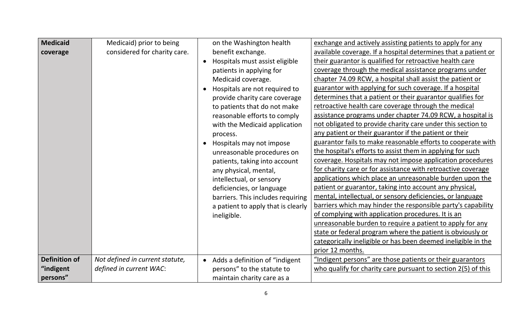| <b>Medicaid</b>      | Medicaid) prior to being        | on the Washington health                    | exchange and actively assisting patients to apply for any      |
|----------------------|---------------------------------|---------------------------------------------|----------------------------------------------------------------|
| coverage             | considered for charity care.    | benefit exchange.                           | available coverage. If a hospital determines that a patient or |
|                      |                                 | Hospitals must assist eligible<br>$\bullet$ | their guarantor is qualified for retroactive health care       |
|                      |                                 | patients in applying for                    | coverage through the medical assistance programs under         |
|                      |                                 | Medicaid coverage.                          | chapter 74.09 RCW, a hospital shall assist the patient or      |
|                      |                                 | Hospitals are not required to               | guarantor with applying for such coverage. If a hospital       |
|                      |                                 | provide charity care coverage               | determines that a patient or their guarantor qualifies for     |
|                      |                                 | to patients that do not make                | retroactive health care coverage through the medical           |
|                      |                                 | reasonable efforts to comply                | assistance programs under chapter 74.09 RCW, a hospital is     |
|                      |                                 | with the Medicaid application               | not obligated to provide charity care under this section to    |
|                      |                                 | process.                                    | any patient or their guarantor if the patient or their         |
|                      |                                 | Hospitals may not impose                    | guarantor fails to make reasonable efforts to cooperate with   |
|                      |                                 | unreasonable procedures on                  | the hospital's efforts to assist them in applying for such     |
|                      |                                 | patients, taking into account               | coverage. Hospitals may not impose application procedures      |
|                      |                                 | any physical, mental,                       | for charity care or for assistance with retroactive coverage   |
|                      |                                 | intellectual, or sensory                    | applications which place an unreasonable burden upon the       |
|                      |                                 | deficiencies, or language                   | patient or guarantor, taking into account any physical,        |
|                      |                                 | barriers. This includes requiring           | mental, intellectual, or sensory deficiencies, or language     |
|                      |                                 | a patient to apply that is clearly          | barriers which may hinder the responsible party's capability   |
|                      |                                 | ineligible.                                 | of complying with application procedures. It is an             |
|                      |                                 |                                             | unreasonable burden to require a patient to apply for any      |
|                      |                                 |                                             | state or federal program where the patient is obviously or     |
|                      |                                 |                                             | categorically ineligible or has been deemed ineligible in the  |
|                      |                                 |                                             | prior 12 months.                                               |
| <b>Definition of</b> | Not defined in current statute, | Adds a definition of "indigent              | "Indigent persons" are those patients or their guarantors      |
| "indigent            | defined in current WAC:         | persons" to the statute to                  | who qualify for charity care pursuant to section 2(5) of this  |
| persons"             |                                 | maintain charity care as a                  |                                                                |